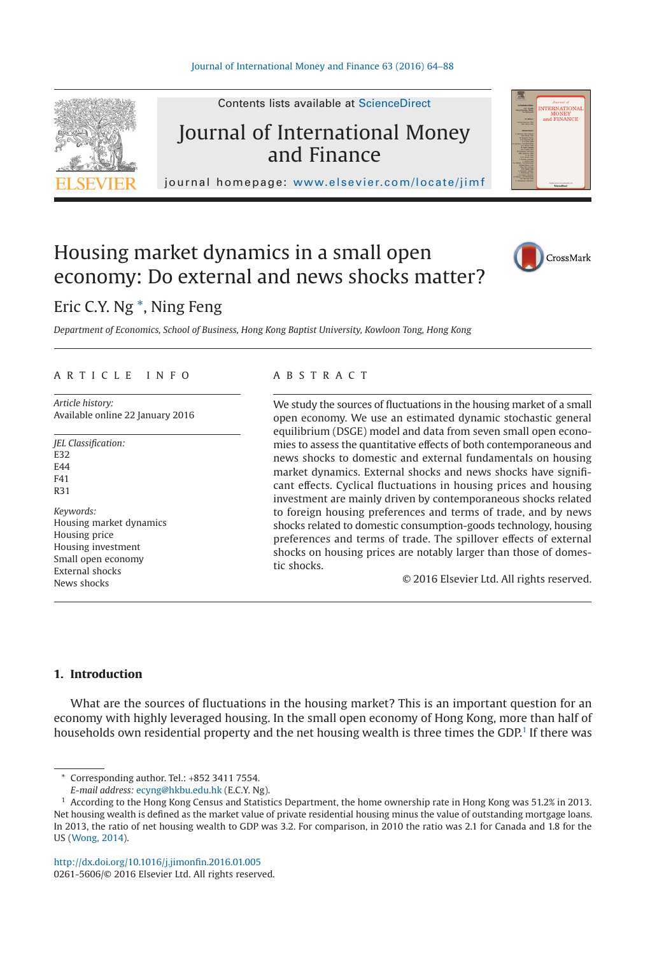

Contents lists available at ScienceDirect

## Journal of International Money and Finance

journal homepage: [www.elsevier.com/locate/jimf](http://www.elsevier.com/locate/JIMF)

# Housing market dynamics in a small open economy: Do external and news shocks matter?



### Eric C.Y. Ng [\\*,](#page-0-0) Ning Feng

*Department of Economics, School of Business, Hong Kong Baptist University, Kowloon Tong, Hong Kong*

#### ARTICLE INFO

*Article history:* Available online 22 January 2016

*JEL Classification:* E32  $FAA$ E<sub>41</sub> R31 *Keywords:* Housing market dynamics Housing price Housing investment Small open economy External shocks News shocks

#### ABSTRACT

We study the sources of fluctuations in the housing market of a small open economy. We use an estimated dynamic stochastic general equilibrium (DSGE) model and data from seven small open economies to assess the quantitative effects of both contemporaneous and news shocks to domestic and external fundamentals on housing market dynamics. External shocks and news shocks have significant effects. Cyclical fluctuations in housing prices and housing investment are mainly driven by contemporaneous shocks related to foreign housing preferences and terms of trade, and by news shocks related to domestic consumption-goods technology, housing preferences and terms of trade. The spillover effects of external shocks on housing prices are notably larger than those of domestic shocks.

© 2016 Elsevier Ltd. All rights reserved.

#### **1. Introduction**

What are the sources of fluctuations in the housing market? This is an important question for an economy with highly leveraged housing. In the small open economy of Hong Kong, more than half of households own residential property and the net housing wealth is three times the GDP.<sup>1</sup> If there was

<span id="page-0-0"></span>Corresponding author. Tel.: +852 3411 7554.

*E-mail address:* [ecyng@hkbu.edu.hk](mailto:ecyng@hkbu.edu.hk) (E.C.Y. Ng).

<span id="page-0-1"></span><sup>1</sup> According to the Hong Kong Census and Statistics Department, the home ownership rate in Hong Kong was 51.2% in 2013. Net housing wealth is defined as the market value of private residential housing minus the value of outstanding mortgage loans. In 2013, the ratio of net housing wealth to GDP was 3.2. For comparison, in 2010 the ratio was 2.1 for Canada and 1.8 for the US [\(Wong, 2014\)](#page--1-0).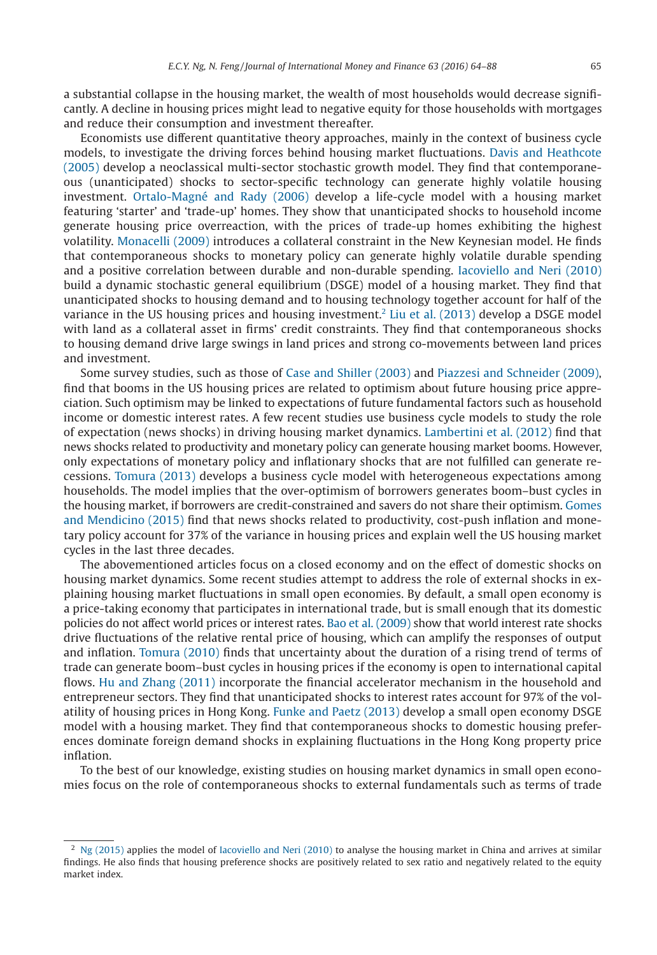a substantial collapse in the housing market, the wealth of most households would decrease significantly. A decline in housing prices might lead to negative equity for those households with mortgages and reduce their consumption and investment thereafter.

Economists use different quantitative theory approaches, mainly in the context of business cycle models, to investigate the driving forces behind housing market fluctuations. [Davis and Heathcote](#page--1-1) [\(2005\)](#page--1-1) develop a neoclassical multi-sector stochastic growth model. They find that contemporaneous (unanticipated) shocks to sector-specific technology can generate highly volatile housing investment. [Ortalo-Magné and Rady \(2006\)](#page--1-2) develop a life-cycle model with a housing market featuring 'starter' and 'trade-up' homes. They show that unanticipated shocks to household income generate housing price overreaction, with the prices of trade-up homes exhibiting the highest volatility. [Monacelli \(2009\)](#page--1-3) introduces a collateral constraint in the New Keynesian model. He finds that contemporaneous shocks to monetary policy can generate highly volatile durable spending and a positive correlation between durable and non-durable spending. [Iacoviello and Neri \(2010\)](#page--1-4) build a dynamic stochastic general equilibrium (DSGE) model of a housing market. They find that unanticipated shocks to housing demand and to housing technology together account for half of the variance in the US housing prices and housing investment[.2](#page-1-0) [Liu et al. \(2013\)](#page--1-5) develop a DSGE model with land as a collateral asset in firms' credit constraints. They find that contemporaneous shocks to housing demand drive large swings in land prices and strong co-movements between land prices and investment.

Some survey studies, such as those of [Case and Shiller \(2003\)](#page--1-6) and [Piazzesi and Schneider \(2009\),](#page--1-7) find that booms in the US housing prices are related to optimism about future housing price appreciation. Such optimism may be linked to expectations of future fundamental factors such as household income or domestic interest rates. A few recent studies use business cycle models to study the role of expectation (news shocks) in driving housing market dynamics. [Lambertini et al. \(2012\)](#page--1-8) find that news shocks related to productivity and monetary policy can generate housing market booms. However, only expectations of monetary policy and inflationary shocks that are not fulfilled can generate recessions. [Tomura \(2013\)](#page--1-9) develops a business cycle model with heterogeneous expectations among households. The model implies that the over-optimism of borrowers generates boom–bust cycles in the housing market, if borrowers are credit-constrained and savers do not share their optimism. [Gomes](#page--1-10) [and Mendicino \(2015\)](#page--1-10) find that news shocks related to productivity, cost-push inflation and monetary policy account for 37% of the variance in housing prices and explain well the US housing market cycles in the last three decades.

The abovementioned articles focus on a closed economy and on the effect of domestic shocks on housing market dynamics. Some recent studies attempt to address the role of external shocks in explaining housing market fluctuations in small open economies. By default, a small open economy is a price-taking economy that participates in international trade, but is small enough that its domestic policies do not affect world prices or interest rates. [Bao et al. \(2009\)](#page--1-11) show that world interest rate shocks drive fluctuations of the relative rental price of housing, which can amplify the responses of output and inflation. [Tomura \(2010\)](#page--1-12) finds that uncertainty about the duration of a rising trend of terms of trade can generate boom–bust cycles in housing prices if the economy is open to international capital flows. [Hu and Zhang \(2011\)](#page--1-13) incorporate the financial accelerator mechanism in the household and entrepreneur sectors. They find that unanticipated shocks to interest rates account for 97% of the volatility of housing prices in Hong Kong. [Funke and Paetz \(2013\)](#page--1-14) develop a small open economy DSGE model with a housing market. They find that contemporaneous shocks to domestic housing preferences dominate foreign demand shocks in explaining fluctuations in the Hong Kong property price inflation.

To the best of our knowledge, existing studies on housing market dynamics in small open economies focus on the role of contemporaneous shocks to external fundamentals such as terms of trade

<span id="page-1-0"></span> $2$  [Ng \(2015\)](#page--1-15) applies the model of [Iacoviello and Neri \(2010\)](#page--1-4) to analyse the housing market in China and arrives at similar findings. He also finds that housing preference shocks are positively related to sex ratio and negatively related to the equity market index.